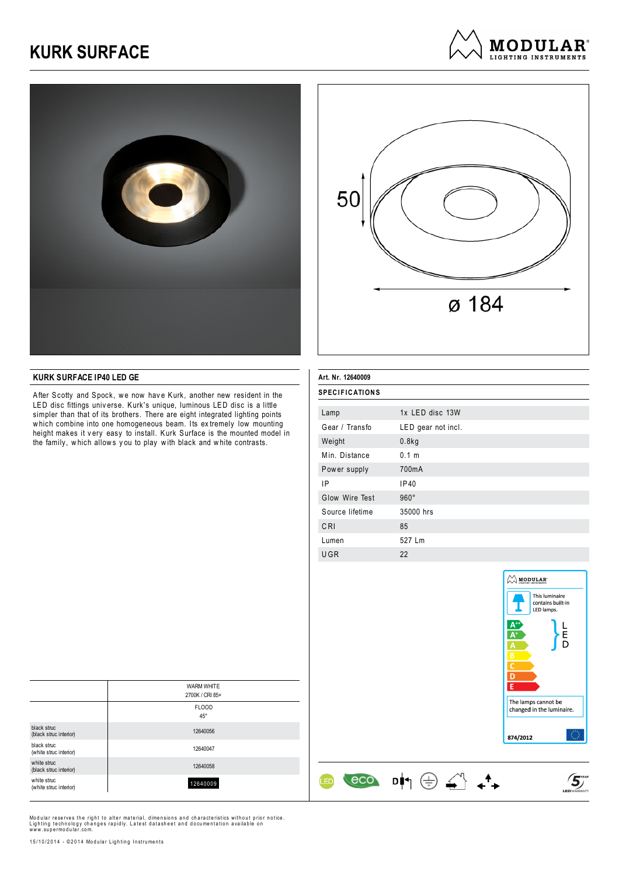## **KURK SURFACE**







## **KURK SURFACE IP40 LED GE**

After Scotty and Spock, we now have Kurk, another new resident in the LED disc fittings univ erse. Kurk's unique, luminous LED disc is a little simpler than that of its brothers. There are eight integrated lighting points which combine into one homogeneous beam. Its extremely low mounting height makes it v ery easy to install. Kurk Surface is the mounted model in the family, which allows you to play with black and white contrasts.

| Art. Nr. 12640009     |                    |  |
|-----------------------|--------------------|--|
| <b>SPECIFICATIONS</b> |                    |  |
|                       |                    |  |
| Lamp                  | 1x LED disc 13W    |  |
| Gear / Transfo        | LED gear not incl. |  |
| Weight                | 0.8kg              |  |
| Min. Distance         | 0.1 m              |  |
| Power supply          | 700 <sub>m</sub> A |  |
| ΙP                    | IP40               |  |
| Glow Wire Test        | $960^\circ$        |  |
| Source lifetime       | 35000 hrs          |  |
| CRI                   | 85                 |  |
| Lumen                 | 527 Lm             |  |
| UGR                   | 22                 |  |

 $\begin{array}{cc} \text{eco} & \text{d} & \oplus & \stackrel{\sim}{\leftrightarrow} & \leftarrow \end{array}$ 

**LED** 



 $\mathfrak{S}$ 

|                                       | <b>WARM WHITE</b>            |
|---------------------------------------|------------------------------|
|                                       | 2700K / CRI 85+              |
|                                       | <b>FLOOD</b><br>$45^{\circ}$ |
|                                       |                              |
| black struc<br>(black struc interior) | 12640056                     |
| black struc<br>(white struc interior) | 12640047                     |
| white struc<br>(black struc interior) | 12640058                     |
| white struc<br>(white struc interior) | 12640009                     |

Modular reserves the right to alter material, dimensions and characteristics without prior notice.<br>Lighting technology changes rapidly. Latest datasheet and documentation available on<br>www.supermodular.com.